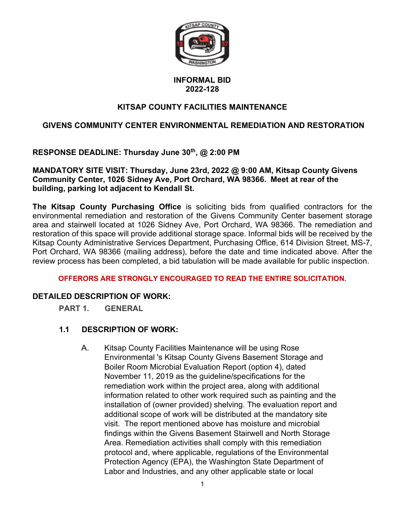

# **INFORMAL BID 2022-128**

# **KITSAP COUNTY FACILITIES MAINTENANCE**

# **GIVENS COMMUNITY CENTER ENVIRONMENTAL REMEDIATION AND RESTORATION**

**RESPONSE DEADLINE: Thursday June 30th, @ 2:00 PM**

## **MANDATORY SITE VISIT: Thursday, June 23rd, 2022 @ 9:00 AM, Kitsap County Givens Community Center, 1026 Sidney Ave, Port Orchard, WA 98366. Meet at rear of the building, parking lot adjacent to Kendall St.**

**The Kitsap County Purchasing Office** is soliciting bids from qualified contractors for the environmental remediation and restoration of the Givens Community Center basement storage area and stairwell located at 1026 Sidney Ave, Port Orchard, WA 98366. The remediation and restoration of this space will provide additional storage space. Informal bids will be received by the Kitsap County Administrative Services Department, Purchasing Office, 614 Division Street, MS-7, Port Orchard, WA 98366 (mailing address), before the date and time indicated above. After the review process has been completed, a bid tabulation will be made available for public inspection.

## **OFFERORS ARE STRONGLY ENCOURAGED TO READ THE ENTIRE SOLICITATION.**

## **DETAILED DESCRIPTION OF WORK:**

**PART 1. GENERAL**

# **1.1 DESCRIPTION OF WORK:**

A. Kitsap County Facilities Maintenance will be using Rose Environmental 's Kitsap County Givens Basement Storage and Boiler Room Microbial Evaluation Report (option 4), dated November 11, 2019 as the guideline/specifications for the remediation work within the project area, along with additional information related to other work required such as painting and the installation of (owner provided) shelving. The evaluation report and additional scope of work will be distributed at the mandatory site visit. The report mentioned above has moisture and microbial findings within the Givens Basement Stairwell and North Storage Area. Remediation activities shall comply with this remediation protocol and, where applicable, regulations of the Environmental Protection Agency (EPA), the Washington State Department of Labor and Industries, and any other applicable state or local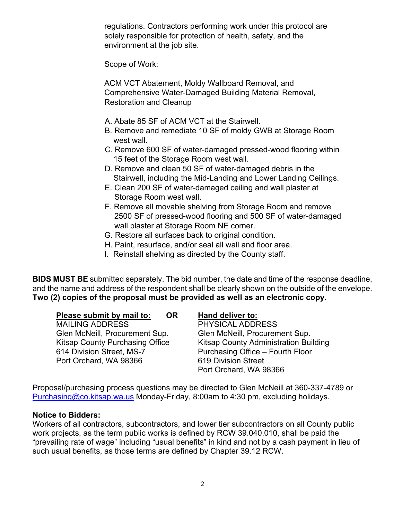regulations. Contractors performing work under this protocol are solely responsible for protection of health, safety, and the environment at the job site.

Scope of Work:

ACM VCT Abatement, Moldy Wallboard Removal, and Comprehensive Water-Damaged Building Material Removal, Restoration and Cleanup

- A. Abate 85 SF of ACM VCT at the Stairwell.
- B. Remove and remediate 10 SF of moldy GWB at Storage Room west wall.
- C. Remove 600 SF of water-damaged pressed-wood flooring within 15 feet of the Storage Room west wall.
- D. Remove and clean 50 SF of water-damaged debris in the Stairwell, including the Mid-Landing and Lower Landing Ceilings.
- E. Clean 200 SF of water-damaged ceiling and wall plaster at Storage Room west wall.
- F. Remove all movable shelving from Storage Room and remove 2500 SF of pressed-wood flooring and 500 SF of water-damaged wall plaster at Storage Room NE corner.
- G. Restore all surfaces back to original condition.
- H. Paint, resurface, and/or seal all wall and floor area.
- I. Reinstall shelving as directed by the County staff.

**BIDS MUST BE** submitted separately. The bid number, the date and time of the response deadline, and the name and address of the respondent shall be clearly shown on the outside of the envelope. **Two (2) copies of the proposal must be provided as well as an electronic copy**.

|   | Please submit by mail to: | <b>OR</b> |
|---|---------------------------|-----------|
| . |                           |           |

Port Orchard, WA 98366 619 Division Street

## **Hand deliver to:**

MAILING ADDRESS PHYSICAL ADDRESS Glen McNeill, Procurement Sup. Glen McNeill, Procurement Sup. Kitsap County Purchasing Office Kitsap County Administration Building 614 Division Street, MS-7 Purchasing Office – Fourth Floor Port Orchard, WA 98366

Proposal/purchasing process questions may be directed to Glen McNeill at 360-337-4789 or [Purchasing@co.kitsap.wa.us](mailto:vmartin@purchasing.com) Monday-Friday, 8:00am to 4:30 pm, excluding holidays.

## **Notice to Bidders:**

Workers of all contractors, subcontractors, and lower tier subcontractors on all County public work projects, as the term public works is defined by RCW 39.040.010, shall be paid the "prevailing rate of wage" including "usual benefits" in kind and not by a cash payment in lieu of such usual benefits, as those terms are defined by Chapter 39.12 RCW.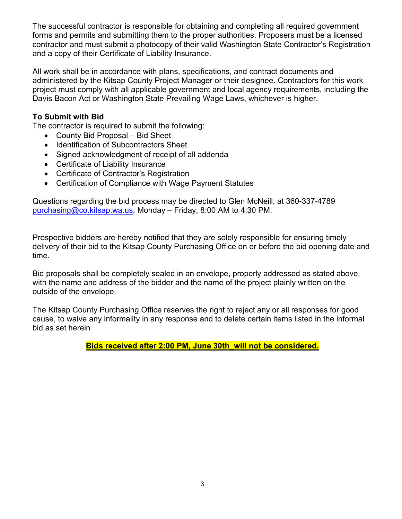The successful contractor is responsible for obtaining and completing all required government forms and permits and submitting them to the proper authorities. Proposers must be a licensed contractor and must submit a photocopy of their valid Washington State Contractor's Registration and a copy of their Certificate of Liability Insurance.

All work shall be in accordance with plans, specifications, and contract documents and administered by the Kitsap County Project Manager or their designee. Contractors for this work project must comply with all applicable government and local agency requirements, including the Davis Bacon Act or Washington State Prevailing Wage Laws, whichever is higher.

## **To Submit with Bid**

The contractor is required to submit the following:

- County Bid Proposal Bid Sheet
- Identification of Subcontractors Sheet
- Signed acknowledgment of receipt of all addenda
- Certificate of Liability Insurance
- Certificate of Contractor's Registration
- Certification of Compliance with Wage Payment Statutes

Questions regarding the bid process may be directed to Glen McNeill, at 360-337-4789 [purchasing@co.kitsap.wa.us,](mailto:purchasing@co.kitsap.wa.us) Monday – Friday, 8:00 AM to 4:30 PM.

Prospective bidders are hereby notified that they are solely responsible for ensuring timely delivery of their bid to the Kitsap County Purchasing Office on or before the bid opening date and time.

Bid proposals shall be completely sealed in an envelope, properly addressed as stated above, with the name and address of the bidder and the name of the project plainly written on the outside of the envelope.

The Kitsap County Purchasing Office reserves the right to reject any or all responses for good cause, to waive any informality in any response and to delete certain items listed in the informal bid as set herein

**Bids received after 2:00 PM, June 30th\_will not be considered.**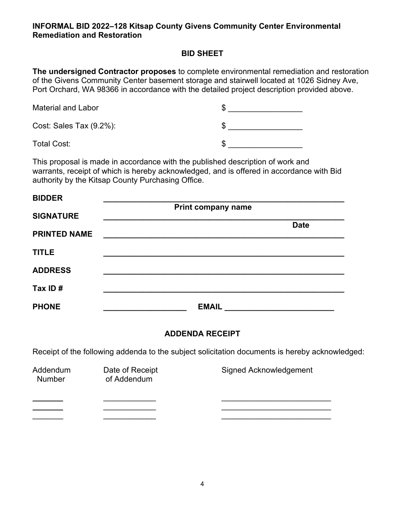#### **INFORMAL BID 2022–128 Kitsap County Givens Community Center Environmental Remediation and Restoration**

## **BID SHEET**

**The undersigned Contractor proposes** to complete environmental remediation and restoration of the Givens Community Center basement storage and stairwell located at 1026 Sidney Ave, Port Orchard, WA 98366 in accordance with the detailed project description provided above.

| <b>Material and Labor</b> |  |
|---------------------------|--|
| Cost: Sales Tax (9.2%):   |  |
| <b>Total Cost:</b>        |  |

This proposal is made in accordance with the published description of work and warrants, receipt of which is hereby acknowledged, and is offered in accordance with Bid authority by the Kitsap County Purchasing Office.

| <b>BIDDER</b>       |                           |  |
|---------------------|---------------------------|--|
|                     | <b>Print company name</b> |  |
| <b>SIGNATURE</b>    |                           |  |
| <b>PRINTED NAME</b> | <b>Date</b>               |  |
| <b>TITLE</b>        |                           |  |
| <b>ADDRESS</b>      |                           |  |
| Tax ID#             |                           |  |
| <b>PHONE</b>        | <b>EMAIL</b>              |  |

# **ADDENDA RECEIPT**

Receipt of the following addenda to the subject solicitation documents is hereby acknowledged:

| Addendum<br><b>Number</b> | Date of Receipt<br>of Addendum | Signed Acknowledgement |
|---------------------------|--------------------------------|------------------------|
|                           |                                |                        |
|                           |                                |                        |
|                           |                                |                        |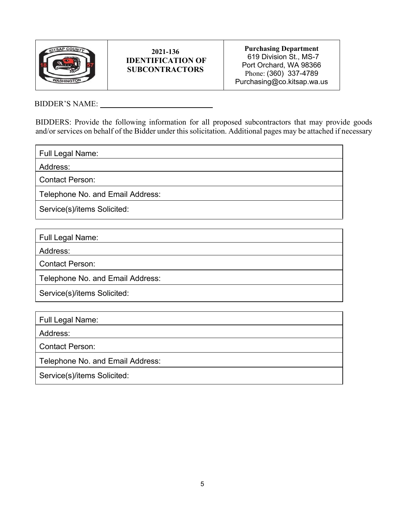

#### **2021-136 IDENTIFICATION OF SUBCONTRACTORS**

**Purchasing Department** 619 Division St., MS-7 Port Orchard, WA 98366 Phone: (360) 337-4789 Purchasing@co.kitsap.wa.us

BIDDER'S NAME:

BIDDERS: Provide the following information for all proposed subcontractors that may provide goods and/or services on behalf of the Bidder under this solicitation. Additional pages may be attached if necessary

Full Legal Name:

Address:

Contact Person:

Telephone No. and Email Address:

Service(s)/items Solicited:

Full Legal Name:

Address:

Contact Person:

Telephone No. and Email Address:

Service(s)/items Solicited:

Full Legal Name:

Address:

Contact Person:

Telephone No. and Email Address:

Service(s)/items Solicited: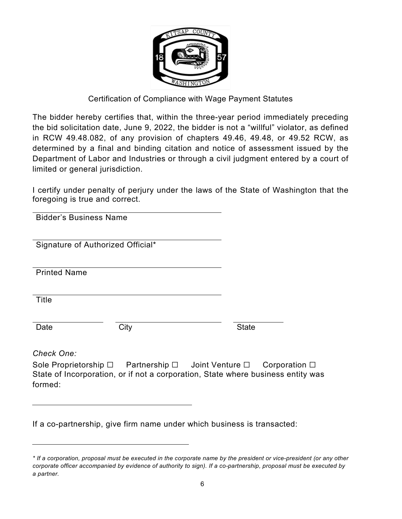

# Certification of Compliance with Wage Payment Statutes

The bidder hereby certifies that, within the three-year period immediately preceding the bid solicitation date, June 9, 2022, the bidder is not a "willful" violator, as defined in RCW 49.48.082, of any provision of chapters 49.46, 49.48, or 49.52 RCW, as determined by a final and binding citation and notice of assessment issued by the Department of Labor and Industries or through a civil judgment entered by a court of limited or general jurisdiction.

I certify under penalty of perjury under the laws of the State of Washington that the foregoing is true and correct.

 Bidder's Business Name

Signature of Authorized Official\*

Printed Name

Title

Date City Communications of the Communication

*Check One:*

Sole Proprietorship ☐Partnership ☐ Joint Venture ☐ Corporation ☐ State of Incorporation, or if not a corporation, State where business entity was formed:

If a co-partnership, give firm name under which business is transacted:

*<sup>\*</sup> If a corporation, proposal must be executed in the corporate name by the president or vice-president (or any other corporate officer accompanied by evidence of authority to sign). If a co-partnership, proposal must be executed by a partner.*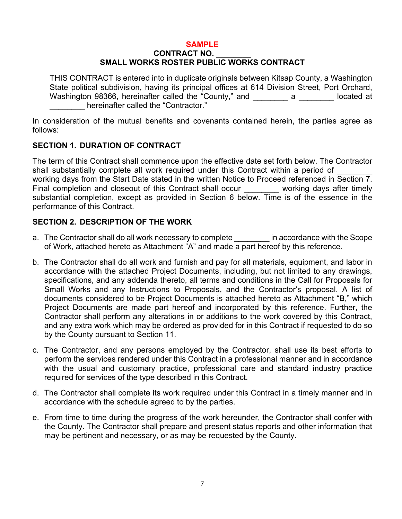## **SAMPLE**

#### **CONTRACT NO. \_\_\_\_\_\_\_\_ SMALL WORKS ROSTER PUBLIC WORKS CONTRACT**

THIS CONTRACT is entered into in duplicate originals between Kitsap County, a Washington State political subdivision, having its principal offices at 614 Division Street, Port Orchard, Washington 98366, hereinafter called the "County," and \_\_\_\_\_\_\_ a \_\_\_\_\_\_\_ located at hereinafter called the "Contractor."

In consideration of the mutual benefits and covenants contained herein, the parties agree as follows:

## **SECTION 1. DURATION OF CONTRACT**

The term of this Contract shall commence upon the effective date set forth below. The Contractor shall substantially complete all work required under this Contract within a period of working days from the Start Date stated in the written Notice to Proceed referenced in Section 7. Final completion and closeout of this Contract shall occur working days after timely substantial completion, except as provided in Section 6 below. Time is of the essence in the performance of this Contract.

## **SECTION 2. DESCRIPTION OF THE WORK**

- a. The Contractor shall do all work necessary to complete **in** accordance with the Scope of Work, attached hereto as Attachment "A" and made a part hereof by this reference.
- b. The Contractor shall do all work and furnish and pay for all materials, equipment, and labor in accordance with the attached Project Documents, including, but not limited to any drawings, specifications, and any addenda thereto, all terms and conditions in the Call for Proposals for Small Works and any Instructions to Proposals, and the Contractor's proposal. A list of documents considered to be Project Documents is attached hereto as Attachment "B," which Project Documents are made part hereof and incorporated by this reference. Further, the Contractor shall perform any alterations in or additions to the work covered by this Contract, and any extra work which may be ordered as provided for in this Contract if requested to do so by the County pursuant to Section 11.
- c. The Contractor, and any persons employed by the Contractor, shall use its best efforts to perform the services rendered under this Contract in a professional manner and in accordance with the usual and customary practice, professional care and standard industry practice required for services of the type described in this Contract.
- d. The Contractor shall complete its work required under this Contract in a timely manner and in accordance with the schedule agreed to by the parties.
- e. From time to time during the progress of the work hereunder, the Contractor shall confer with the County. The Contractor shall prepare and present status reports and other information that may be pertinent and necessary, or as may be requested by the County.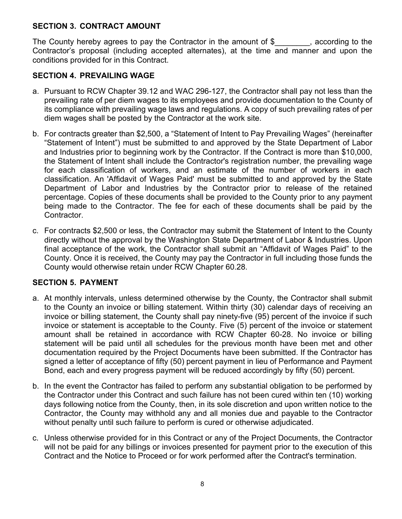## **SECTION 3. CONTRACT AMOUNT**

The County hereby agrees to pay the Contractor in the amount of \$\_\_\_\_\_\_\_\_, according to the Contractor's proposal (including accepted alternates), at the time and manner and upon the conditions provided for in this Contract.

## **SECTION 4. PREVAILING WAGE**

- a. Pursuant to RCW Chapter 39.12 and WAC 296-127, the Contractor shall pay not less than the prevailing rate of per diem wages to its employees and provide documentation to the County of its compliance with prevailing wage laws and regulations. A copy of such prevailing rates of per diem wages shall be posted by the Contractor at the work site.
- b. For contracts greater than \$2,500, a "Statement of Intent to Pay Prevailing Wages" (hereinafter "Statement of Intent") must be submitted to and approved by the State Department of Labor and Industries prior to beginning work by the Contractor. If the Contract is more than \$10,000, the Statement of Intent shall include the Contractor's registration number, the prevailing wage for each classification of workers, and an estimate of the number of workers in each classification. An 'Affidavit of Wages Paid' must be submitted to and approved by the State Department of Labor and Industries by the Contractor prior to release of the retained percentage. Copies of these documents shall be provided to the County prior to any payment being made to the Contractor. The fee for each of these documents shall be paid by the Contractor.
- c. For contracts \$2,500 or less, the Contractor may submit the Statement of Intent to the County directly without the approval by the Washington State Department of Labor & Industries. Upon final acceptance of the work, the Contractor shall submit an "Affidavit of Wages Paid" to the County. Once it is received, the County may pay the Contractor in full including those funds the County would otherwise retain under RCW Chapter 60.28.

## **SECTION 5. PAYMENT**

- a. At monthly intervals, unless determined otherwise by the County, the Contractor shall submit to the County an invoice or billing statement. Within thirty (30) calendar days of receiving an invoice or billing statement, the County shall pay ninety-five (95) percent of the invoice if such invoice or statement is acceptable to the County. Five (5) percent of the invoice or statement amount shall be retained in accordance with RCW Chapter 60-28. No invoice or billing statement will be paid until all schedules for the previous month have been met and other documentation required by the Project Documents have been submitted. If the Contractor has signed a letter of acceptance of fifty (50) percent payment in lieu of Performance and Payment Bond, each and every progress payment will be reduced accordingly by fifty (50) percent.
- b. In the event the Contractor has failed to perform any substantial obligation to be performed by the Contractor under this Contract and such failure has not been cured within ten (10) working days following notice from the County, then, in its sole discretion and upon written notice to the Contractor, the County may withhold any and all monies due and payable to the Contractor without penalty until such failure to perform is cured or otherwise adjudicated.
- c. Unless otherwise provided for in this Contract or any of the Project Documents, the Contractor will not be paid for any billings or invoices presented for payment prior to the execution of this Contract and the Notice to Proceed or for work performed after the Contract's termination.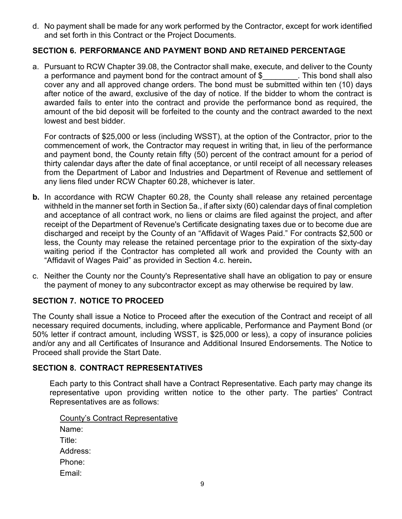d. No payment shall be made for any work performed by the Contractor, except for work identified and set forth in this Contract or the Project Documents.

## **SECTION 6. PERFORMANCE AND PAYMENT BOND AND RETAINED PERCENTAGE**

a. Pursuant to RCW Chapter 39.08, the Contractor shall make, execute, and deliver to the County a performance and payment bond for the contract amount of  $\$\$ . This bond shall also cover any and all approved change orders. The bond must be submitted within ten (10) days after notice of the award, exclusive of the day of notice. If the bidder to whom the contract is awarded fails to enter into the contract and provide the performance bond as required, the amount of the bid deposit will be forfeited to the county and the contract awarded to the next lowest and best bidder.

For contracts of \$25,000 or less (including WSST), at the option of the Contractor, prior to the commencement of work, the Contractor may request in writing that, in lieu of the performance and payment bond, the County retain fifty (50) percent of the contract amount for a period of thirty calendar days after the date of final acceptance, or until receipt of all necessary releases from the Department of Labor and Industries and Department of Revenue and settlement of any liens filed under RCW Chapter 60.28, whichever is later.

- **b.** In accordance with RCW Chapter 60.28, the County shall release any retained percentage withheld in the manner set forth in Section 5a., if after sixty (60) calendar days of final completion and acceptance of all contract work, no liens or claims are filed against the project, and after receipt of the Department of Revenue's Certificate designating taxes due or to become due are discharged and receipt by the County of an "Affidavit of Wages Paid." For contracts \$2,500 or less, the County may release the retained percentage prior to the expiration of the sixty-day waiting period if the Contractor has completed all work and provided the County with an "Affidavit of Wages Paid" as provided in Section 4.c. herein**.**
- c. Neither the County nor the County's Representative shall have an obligation to pay or ensure the payment of money to any subcontractor except as may otherwise be required by law.

# **SECTION 7. NOTICE TO PROCEED**

The County shall issue a Notice to Proceed after the execution of the Contract and receipt of all necessary required documents, including, where applicable, Performance and Payment Bond (or 50% letter if contract amount, including WSST, is \$25,000 or less), a copy of insurance policies and/or any and all Certificates of Insurance and Additional Insured Endorsements. The Notice to Proceed shall provide the Start Date.

#### **SECTION 8. CONTRACT REPRESENTATIVES**

Each party to this Contract shall have a Contract Representative. Each party may change its representative upon providing written notice to the other party. The parties' Contract Representatives are as follows:

County's Contract Representative Name: Title: Address: Phone: Email: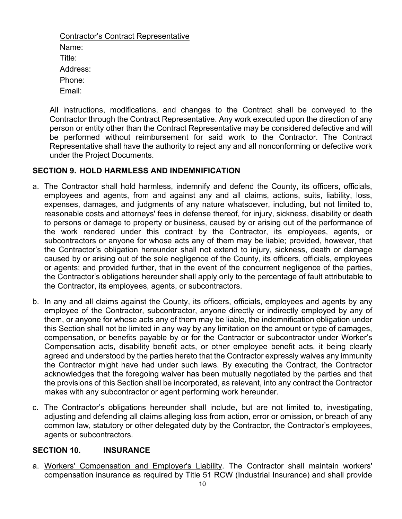Contractor's Contract Representative Name: Title: Address: Phone: Email:

All instructions, modifications, and changes to the Contract shall be conveyed to the Contractor through the Contract Representative. Any work executed upon the direction of any person or entity other than the Contract Representative may be considered defective and will be performed without reimbursement for said work to the Contractor. The Contract Representative shall have the authority to reject any and all nonconforming or defective work under the Project Documents.

#### **SECTION 9. HOLD HARMLESS AND INDEMNIFICATION**

- a. The Contractor shall hold harmless, indemnify and defend the County, its officers, officials, employees and agents, from and against any and all claims, actions, suits, liability, loss, expenses, damages, and judgments of any nature whatsoever, including, but not limited to, reasonable costs and attorneys' fees in defense thereof, for injury, sickness, disability or death to persons or damage to property or business, caused by or arising out of the performance of the work rendered under this contract by the Contractor, its employees, agents, or subcontractors or anyone for whose acts any of them may be liable; provided, however, that the Contractor's obligation hereunder shall not extend to injury, sickness, death or damage caused by or arising out of the sole negligence of the County, its officers, officials, employees or agents; and provided further, that in the event of the concurrent negligence of the parties, the Contractor's obligations hereunder shall apply only to the percentage of fault attributable to the Contractor, its employees, agents, or subcontractors.
- b. In any and all claims against the County, its officers, officials, employees and agents by any employee of the Contractor, subcontractor, anyone directly or indirectly employed by any of them, or anyone for whose acts any of them may be liable, the indemnification obligation under this Section shall not be limited in any way by any limitation on the amount or type of damages, compensation, or benefits payable by or for the Contractor or subcontractor under Worker's Compensation acts, disability benefit acts, or other employee benefit acts, it being clearly agreed and understood by the parties hereto that the Contractor expressly waives any immunity the Contractor might have had under such laws. By executing the Contract, the Contractor acknowledges that the foregoing waiver has been mutually negotiated by the parties and that the provisions of this Section shall be incorporated, as relevant, into any contract the Contractor makes with any subcontractor or agent performing work hereunder.
- c. The Contractor's obligations hereunder shall include, but are not limited to, investigating, adjusting and defending all claims alleging loss from action, error or omission, or breach of any common law, statutory or other delegated duty by the Contractor, the Contractor's employees, agents or subcontractors.

#### **SECTION 10. INSURANCE**

a. Workers' Compensation and Employer's Liability. The Contractor shall maintain workers' compensation insurance as required by Title 51 RCW (Industrial Insurance) and shall provide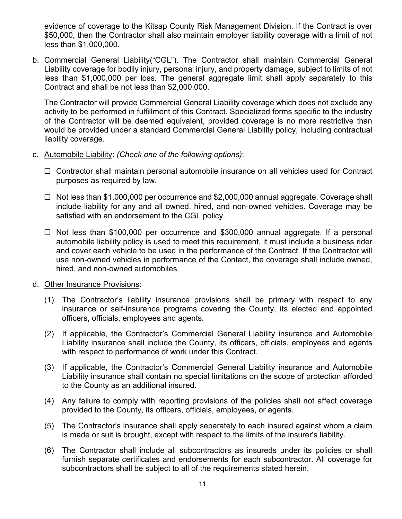evidence of coverage to the Kitsap County Risk Management Division. If the Contract is over \$50,000, then the Contractor shall also maintain employer liability coverage with a limit of not less than \$1,000,000.

b. Commercial General Liability("CGL"). The Contractor shall maintain Commercial General Liability coverage for bodily injury, personal injury, and property damage, subject to limits of not less than \$1,000,000 per loss. The general aggregate limit shall apply separately to this Contract and shall be not less than \$2,000,000.

The Contractor will provide Commercial General Liability coverage which does not exclude any activity to be performed in fulfillment of this Contract. Specialized forms specific to the industry of the Contractor will be deemed equivalent, provided coverage is no more restrictive than would be provided under a standard Commercial General Liability policy, including contractual liability coverage.

- c. Automobile Liability: *(Check one of the following options)*:
	- □ Contractor shall maintain personal automobile insurance on all vehicles used for Contract purposes as required by law.
	- ☐ Not less than \$1,000,000 per occurrence and \$2,000,000 annual aggregate. Coverage shall include liability for any and all owned, hired, and non-owned vehicles. Coverage may be satisfied with an endorsement to the CGL policy.
	- ☐ Not less than \$100,000 per occurrence and \$300,000 annual aggregate. If a personal automobile liability policy is used to meet this requirement, it must include a business rider and cover each vehicle to be used in the performance of the Contract. If the Contractor will use non-owned vehicles in performance of the Contact, the coverage shall include owned, hired, and non-owned automobiles.
- d. Other Insurance Provisions:
	- (1) The Contractor's liability insurance provisions shall be primary with respect to any insurance or self-insurance programs covering the County, its elected and appointed officers, officials, employees and agents.
	- (2) If applicable, the Contractor's Commercial General Liability insurance and Automobile Liability insurance shall include the County, its officers, officials, employees and agents with respect to performance of work under this Contract.
	- (3) If applicable, the Contractor's Commercial General Liability insurance and Automobile Liability insurance shall contain no special limitations on the scope of protection afforded to the County as an additional insured.
	- (4) Any failure to comply with reporting provisions of the policies shall not affect coverage provided to the County, its officers, officials, employees, or agents.
	- (5) The Contractor's insurance shall apply separately to each insured against whom a claim is made or suit is brought, except with respect to the limits of the insurer's liability.
	- (6) The Contractor shall include all subcontractors as insureds under its policies or shall furnish separate certificates and endorsements for each subcontractor. All coverage for subcontractors shall be subject to all of the requirements stated herein.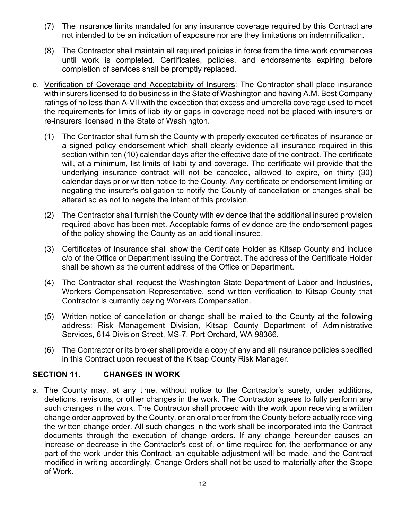- (7) The insurance limits mandated for any insurance coverage required by this Contract are not intended to be an indication of exposure nor are they limitations on indemnification.
- (8) The Contractor shall maintain all required policies in force from the time work commences until work is completed. Certificates, policies, and endorsements expiring before completion of services shall be promptly replaced.
- e. Verification of Coverage and Acceptability of Insurers: The Contractor shall place insurance with insurers licensed to do business in the State of Washington and having A.M. Best Company ratings of no less than A-VII with the exception that excess and umbrella coverage used to meet the requirements for limits of liability or gaps in coverage need not be placed with insurers or re-insurers licensed in the State of Washington.
	- (1) The Contractor shall furnish the County with properly executed certificates of insurance or a signed policy endorsement which shall clearly evidence all insurance required in this section within ten (10) calendar days after the effective date of the contract. The certificate will, at a minimum, list limits of liability and coverage. The certificate will provide that the underlying insurance contract will not be canceled, allowed to expire, on thirty (30) calendar days prior written notice to the County. Any certificate or endorsement limiting or negating the insurer's obligation to notify the County of cancellation or changes shall be altered so as not to negate the intent of this provision.
	- (2) The Contractor shall furnish the County with evidence that the additional insured provision required above has been met. Acceptable forms of evidence are the endorsement pages of the policy showing the County as an additional insured.
	- (3) Certificates of Insurance shall show the Certificate Holder as Kitsap County and include c/o of the Office or Department issuing the Contract. The address of the Certificate Holder shall be shown as the current address of the Office or Department.
	- (4) The Contractor shall request the Washington State Department of Labor and Industries, Workers Compensation Representative, send written verification to Kitsap County that Contractor is currently paying Workers Compensation.
	- (5) Written notice of cancellation or change shall be mailed to the County at the following address: Risk Management Division, Kitsap County Department of Administrative Services, 614 Division Street, MS-7, Port Orchard, WA 98366.
	- (6) The Contractor or its broker shall provide a copy of any and all insurance policies specified in this Contract upon request of the Kitsap County Risk Manager.

## **SECTION 11. CHANGES IN WORK**

a. The County may, at any time, without notice to the Contractor's surety, order additions, deletions, revisions, or other changes in the work. The Contractor agrees to fully perform any such changes in the work. The Contractor shall proceed with the work upon receiving a written change order approved by the County, or an oral order from the County before actually receiving the written change order. All such changes in the work shall be incorporated into the Contract documents through the execution of change orders. If any change hereunder causes an increase or decrease in the Contractor's cost of, or time required for, the performance or any part of the work under this Contract, an equitable adjustment will be made, and the Contract modified in writing accordingly. Change Orders shall not be used to materially after the Scope of Work.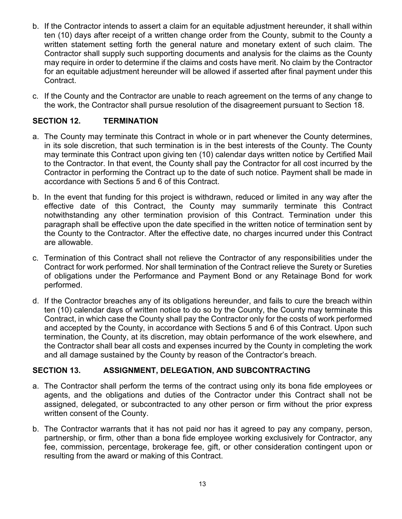- b. If the Contractor intends to assert a claim for an equitable adjustment hereunder, it shall within ten (10) days after receipt of a written change order from the County, submit to the County a written statement setting forth the general nature and monetary extent of such claim. The Contractor shall supply such supporting documents and analysis for the claims as the County may require in order to determine if the claims and costs have merit. No claim by the Contractor for an equitable adjustment hereunder will be allowed if asserted after final payment under this Contract.
- c. If the County and the Contractor are unable to reach agreement on the terms of any change to the work, the Contractor shall pursue resolution of the disagreement pursuant to Section 18.

# **SECTION 12. TERMINATION**

- a. The County may terminate this Contract in whole or in part whenever the County determines, in its sole discretion, that such termination is in the best interests of the County. The County may terminate this Contract upon giving ten (10) calendar days written notice by Certified Mail to the Contractor. In that event, the County shall pay the Contractor for all cost incurred by the Contractor in performing the Contract up to the date of such notice. Payment shall be made in accordance with Sections 5 and 6 of this Contract.
- b. In the event that funding for this project is withdrawn, reduced or limited in any way after the effective date of this Contract, the County may summarily terminate this Contract notwithstanding any other termination provision of this Contract. Termination under this paragraph shall be effective upon the date specified in the written notice of termination sent by the County to the Contractor. After the effective date, no charges incurred under this Contract are allowable.
- c. Termination of this Contract shall not relieve the Contractor of any responsibilities under the Contract for work performed. Nor shall termination of the Contract relieve the Surety or Sureties of obligations under the Performance and Payment Bond or any Retainage Bond for work performed.
- d. If the Contractor breaches any of its obligations hereunder, and fails to cure the breach within ten (10) calendar days of written notice to do so by the County, the County may terminate this Contract, in which case the County shall pay the Contractor only for the costs of work performed and accepted by the County, in accordance with Sections 5 and 6 of this Contract. Upon such termination, the County, at its discretion, may obtain performance of the work elsewhere, and the Contractor shall bear all costs and expenses incurred by the County in completing the work and all damage sustained by the County by reason of the Contractor's breach.

## **SECTION 13. ASSIGNMENT, DELEGATION, AND SUBCONTRACTING**

- a. The Contractor shall perform the terms of the contract using only its bona fide employees or agents, and the obligations and duties of the Contractor under this Contract shall not be assigned, delegated, or subcontracted to any other person or firm without the prior express written consent of the County.
- b. The Contractor warrants that it has not paid nor has it agreed to pay any company, person, partnership, or firm, other than a bona fide employee working exclusively for Contractor, any fee, commission, percentage, brokerage fee, gift, or other consideration contingent upon or resulting from the award or making of this Contract.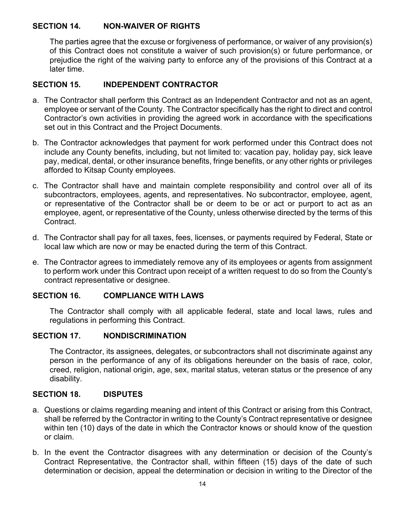# **SECTION 14. NON-WAIVER OF RIGHTS**

The parties agree that the excuse or forgiveness of performance, or waiver of any provision(s) of this Contract does not constitute a waiver of such provision(s) or future performance, or prejudice the right of the waiving party to enforce any of the provisions of this Contract at a later time.

# **SECTION 15. INDEPENDENT CONTRACTOR**

- a. The Contractor shall perform this Contract as an Independent Contractor and not as an agent, employee or servant of the County. The Contractor specifically has the right to direct and control Contractor's own activities in providing the agreed work in accordance with the specifications set out in this Contract and the Project Documents.
- b. The Contractor acknowledges that payment for work performed under this Contract does not include any County benefits, including, but not limited to: vacation pay, holiday pay, sick leave pay, medical, dental, or other insurance benefits, fringe benefits, or any other rights or privileges afforded to Kitsap County employees.
- c. The Contractor shall have and maintain complete responsibility and control over all of its subcontractors, employees, agents, and representatives. No subcontractor, employee, agent, or representative of the Contractor shall be or deem to be or act or purport to act as an employee, agent, or representative of the County, unless otherwise directed by the terms of this Contract.
- d. The Contractor shall pay for all taxes, fees, licenses, or payments required by Federal, State or local law which are now or may be enacted during the term of this Contract.
- e. The Contractor agrees to immediately remove any of its employees or agents from assignment to perform work under this Contract upon receipt of a written request to do so from the County's contract representative or designee.

## **SECTION 16. COMPLIANCE WITH LAWS**

The Contractor shall comply with all applicable federal, state and local laws, rules and regulations in performing this Contract.

## **SECTION 17. NONDISCRIMINATION**

The Contractor, its assignees, delegates, or subcontractors shall not discriminate against any person in the performance of any of its obligations hereunder on the basis of race, color, creed, religion, national origin, age, sex, marital status, veteran status or the presence of any disability.

## **SECTION 18. DISPUTES**

- a. Questions or claims regarding meaning and intent of this Contract or arising from this Contract, shall be referred by the Contractor in writing to the County's Contract representative or designee within ten (10) days of the date in which the Contractor knows or should know of the question or claim.
- b. In the event the Contractor disagrees with any determination or decision of the County's Contract Representative, the Contractor shall, within fifteen (15) days of the date of such determination or decision, appeal the determination or decision in writing to the Director of the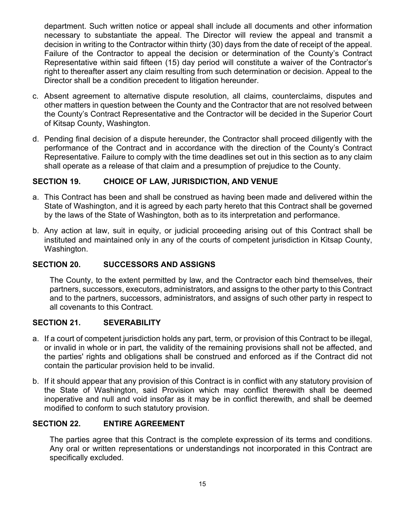department. Such written notice or appeal shall include all documents and other information necessary to substantiate the appeal. The Director will review the appeal and transmit a decision in writing to the Contractor within thirty (30) days from the date of receipt of the appeal. Failure of the Contractor to appeal the decision or determination of the County's Contract Representative within said fifteen (15) day period will constitute a waiver of the Contractor's right to thereafter assert any claim resulting from such determination or decision. Appeal to the Director shall be a condition precedent to litigation hereunder.

- c. Absent agreement to alternative dispute resolution, all claims, counterclaims, disputes and other matters in question between the County and the Contractor that are not resolved between the County's Contract Representative and the Contractor will be decided in the Superior Court of Kitsap County, Washington.
- d. Pending final decision of a dispute hereunder, the Contractor shall proceed diligently with the performance of the Contract and in accordance with the direction of the County's Contract Representative. Failure to comply with the time deadlines set out in this section as to any claim shall operate as a release of that claim and a presumption of prejudice to the County.

## **SECTION 19. CHOICE OF LAW, JURISDICTION, AND VENUE**

- a. This Contract has been and shall be construed as having been made and delivered within the State of Washington, and it is agreed by each party hereto that this Contract shall be governed by the laws of the State of Washington, both as to its interpretation and performance.
- b. Any action at law, suit in equity, or judicial proceeding arising out of this Contract shall be instituted and maintained only in any of the courts of competent jurisdiction in Kitsap County, Washington.

## **SECTION 20. SUCCESSORS AND ASSIGNS**

The County, to the extent permitted by law, and the Contractor each bind themselves, their partners, successors, executors, administrators, and assigns to the other party to this Contract and to the partners, successors, administrators, and assigns of such other party in respect to all covenants to this Contract.

## **SECTION 21. SEVERABILITY**

- a. If a court of competent jurisdiction holds any part, term, or provision of this Contract to be illegal, or invalid in whole or in part, the validity of the remaining provisions shall not be affected, and the parties' rights and obligations shall be construed and enforced as if the Contract did not contain the particular provision held to be invalid.
- b. If it should appear that any provision of this Contract is in conflict with any statutory provision of the State of Washington, said Provision which may conflict therewith shall be deemed inoperative and null and void insofar as it may be in conflict therewith, and shall be deemed modified to conform to such statutory provision.

#### **SECTION 22. ENTIRE AGREEMENT**

The parties agree that this Contract is the complete expression of its terms and conditions. Any oral or written representations or understandings not incorporated in this Contract are specifically excluded.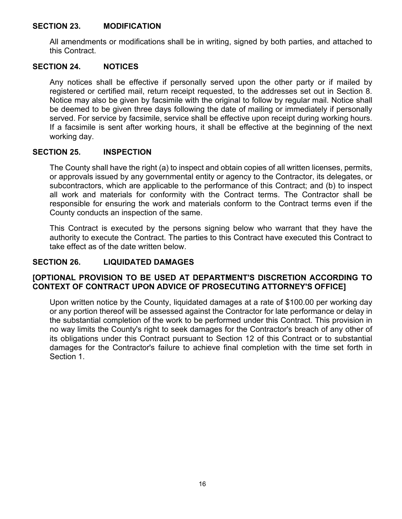#### **SECTION 23. MODIFICATION**

All amendments or modifications shall be in writing, signed by both parties, and attached to this Contract.

#### **SECTION 24. NOTICES**

Any notices shall be effective if personally served upon the other party or if mailed by registered or certified mail, return receipt requested, to the addresses set out in Section 8. Notice may also be given by facsimile with the original to follow by regular mail. Notice shall be deemed to be given three days following the date of mailing or immediately if personally served. For service by facsimile, service shall be effective upon receipt during working hours. If a facsimile is sent after working hours, it shall be effective at the beginning of the next working day.

#### **SECTION 25. INSPECTION**

The County shall have the right (a) to inspect and obtain copies of all written licenses, permits, or approvals issued by any governmental entity or agency to the Contractor, its delegates, or subcontractors, which are applicable to the performance of this Contract; and (b) to inspect all work and materials for conformity with the Contract terms. The Contractor shall be responsible for ensuring the work and materials conform to the Contract terms even if the County conducts an inspection of the same.

This Contract is executed by the persons signing below who warrant that they have the authority to execute the Contract. The parties to this Contract have executed this Contract to take effect as of the date written below.

## **SECTION 26. LIQUIDATED DAMAGES**

## **[OPTIONAL PROVISION TO BE USED AT DEPARTMENT'S DISCRETION ACCORDING TO CONTEXT OF CONTRACT UPON ADVICE OF PROSECUTING ATTORNEY'S OFFICE]**

Upon written notice by the County, liquidated damages at a rate of \$100.00 per working day or any portion thereof will be assessed against the Contractor for late performance or delay in the substantial completion of the work to be performed under this Contract. This provision in no way limits the County's right to seek damages for the Contractor's breach of any other of its obligations under this Contract pursuant to Section 12 of this Contract or to substantial damages for the Contractor's failure to achieve final completion with the time set forth in Section 1.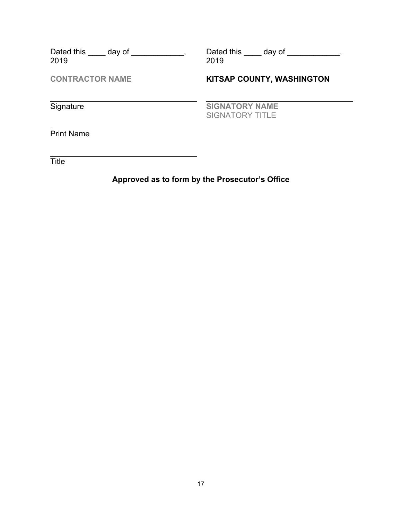| Dated this day of<br>2019 | Dated this day of<br>2019                       |
|---------------------------|-------------------------------------------------|
| <b>CONTRACTOR NAME</b>    | <b>KITSAP COUNTY, WASHINGTON</b>                |
| Signature                 | <b>SIGNATORY NAME</b><br><b>SIGNATORY TITLE</b> |
| <b>Print Name</b>         |                                                 |
| Title                     |                                                 |

# **Approved as to form by the Prosecutor's Office**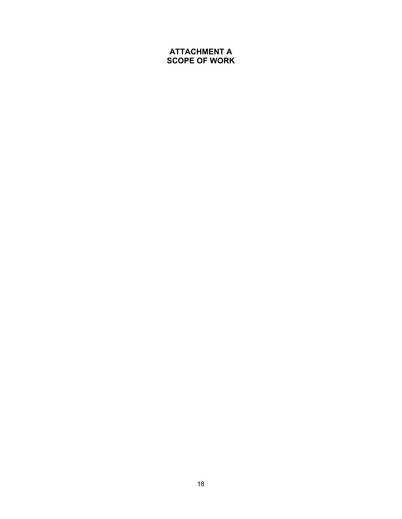## **ATTACHMENT A SCOPE OF WORK**